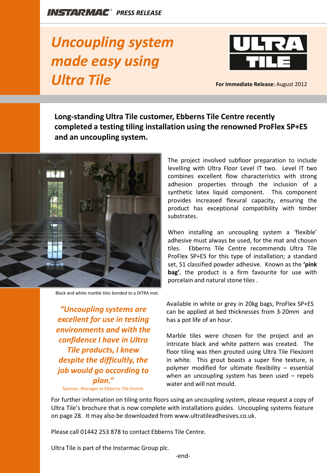## *Uncoupling system made easy using Ultra Tile*



**For Immediate Release:** August 2012

**Long-standing Ultra Tile customer, Ebberns Tile Centre recently completed a testing tiling installation using the renowned ProFlex SP+ES and an uncoupling system.** 



Black and white marble tiles bonded to a DITRA mat.

*"Uncoupling systems are excellent for use in testing environments and with the confidence I have in Ultra Tile products, I knew despite the difficultly, the job would go according to plan."* 

Spencer, Manager at Ebberns Tile Centre.

The project involved subfloor preparation to include levelling with Ultra Floor Level IT two. Level IT two combines excellent flow characteristics with strong adhesion properties through the inclusion of a synthetic latex liquid component. This component provides increased flexural capacity, ensuring the product has exceptional compatibility with timber substrates.

When installing an uncoupling system a 'flexible' adhesive must always be used, for the mat and chosen tiles. Ebberns Tile Centre recommends Ultra Tile ProFlex SP+ES for this type of installation; a standard set, S1 classified powder adhesive. Known as the **'pink bag'**, the product is a firm favourite for use with porcelain and natural stone tiles .

Available in white or grey in 20kg bags, ProFlex SP+ES can be applied at bed thicknesses from 3-20mm and has a pot life of an hour.

Marble tiles were chosen for the project and an intricate black and white pattern was created. The floor tiling was then grouted using Ultra Tile FlexJoint in white. This grout boasts a super fine texture, is polymer modified for ultimate flexibility – essential when an uncoupling system has been used – repels water and will not mould.

For further information on tiling onto floors using an uncoupling system, please request a copy of Ultra Tile's brochure that is now complete with installations guides. Uncoupling systems feature on page 28. It may also be downloaded from www.ultratileadhesives.co.uk.

Please call 01442 253 878 to contact Ebberns Tile Centre.

Ultra Tile is part of the Instarmac Group plc.